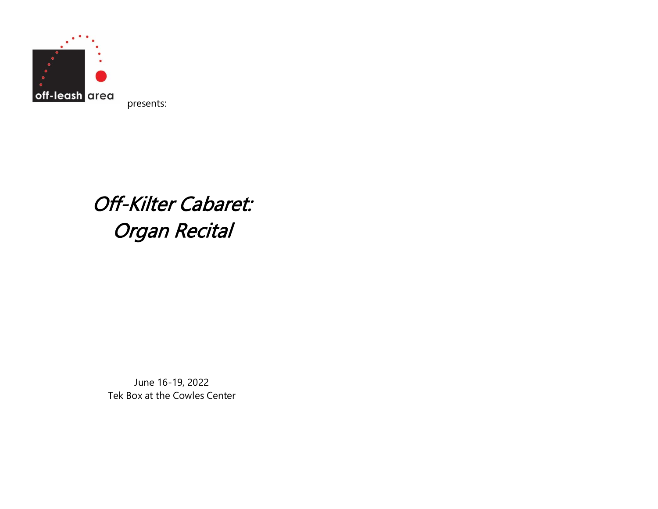

presents:

# Off-Kilter Cabaret: Organ Recital

June 16-19, 2022 Tek Box at the Cowles Center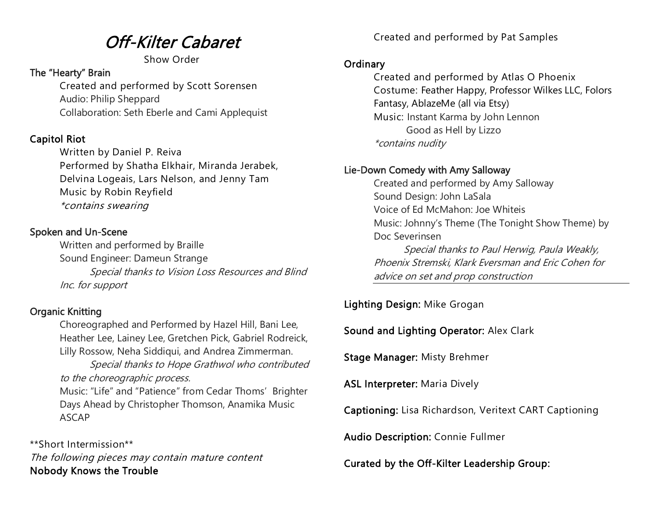## Off-Kilter Cabaret

Show Order

#### The "Hearty" Brain

Created and performed by Scott Sorensen Audio: Philip Sheppard Collaboration: Seth Eberle and Cami Applequist

#### Capitol Riot

Written by Daniel P. Reiva Performed by Shatha Elkhair, Miranda Jerabek, Delvina Logeais, Lars Nelson, and Jenny Tam Music by Robin Reyfield \*contains swearing

#### Spoken and Un-Scene

Written and performed by Braille Sound Engineer: Dameun Strange Special thanks to Vision Loss Resources and Blind Inc. for support

#### Organic Knitting

Choreographed and Performed by Hazel Hill, Bani Lee, Heather Lee, Lainey Lee, Gretchen Pick, Gabriel Rodreick, Lilly Rossow, Neha Siddiqui, and Andrea Zimmerman.

Special thanks to Hope Grathwol who contributed to the choreographic process.

Music: "Life" and "Patience" from Cedar Thoms' Brighter Days Ahead by Christopher Thomson, Anamika Music ASCAP

\*\*Short Intermission\*\* The following pieces may contain mature content Nobody Knows the Trouble

Created and performed by Pat Samples

#### **Ordinary**

Created and performed by Atlas O Phoenix Costume: Feather Happy, Professor Wilkes LLC, Folors Fantasy, AblazeMe (all via Etsy) Music: Instant Karma by John Lennon Good as Hell by Lizzo \*contains nudity

#### Lie-Down Comedy with Amy Salloway

Created and performed by Amy Salloway Sound Design: John LaSala Voice of Ed McMahon: Joe Whiteis Music: Johnny's Theme (The Tonight Show Theme) by Doc Severinsen Special thanks to Paul Herwig, Paula Weakly, Phoenix Stremski, Klark Eversman and Eric Cohen for advice on set and prop construction

Lighting Design: Mike Grogan

Sound and Lighting Operator: Alex Clark

Stage Manager: Misty Brehmer

ASL Interpreter: Maria Dively

Captioning: Lisa Richardson, Veritext CART Captioning

Audio Description: Connie Fullmer

Curated by the Off-Kilter Leadership Group: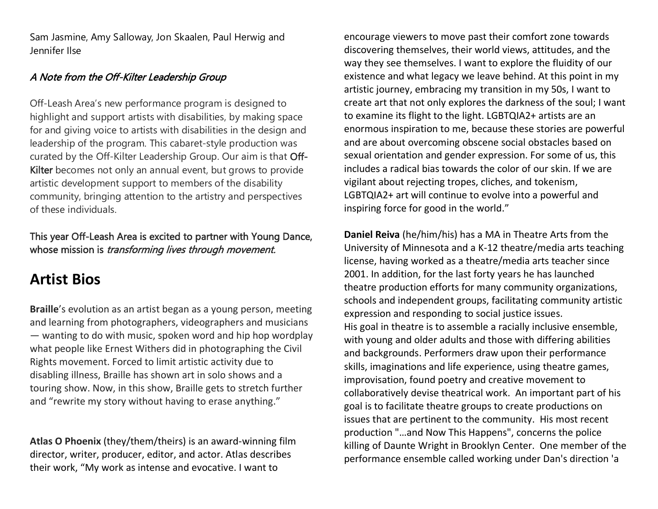Sam Jasmine, Amy Salloway, Jon Skaalen, Paul Herwig and Jennifer Ilse

#### A Note from the Off-Kilter Leadership Group

Off-Leash Area's new performance program is designed to highlight and support artists with disabilities, by making space for and giving voice to artists with disabilities in the design and leadership of the program. This cabaret-style production was curated by the Off-Kilter Leadership Group. Our aim is that Off-Kilter becomes not only an annual event, but grows to provide artistic development support to members of the disability community, bringing attention to the artistry and perspectives of these individuals.

#### This year Off-Leash Area is excited to partner with Young Dance, whose mission is *transforming lives through movement.*

### **Artist Bios**

**Braille**'s evolution as an artist began as a young person, meeting and learning from photographers, videographers and musicians — wanting to do with music, spoken word and hip hop wordplay what people like Ernest Withers did in photographing the Civil Rights movement. Forced to limit artistic activity due to disabling illness, Braille has shown art in solo shows and a touring show. Now, in this show, Braille gets to stretch further and "rewrite my story without having to erase anything."

**Atlas O Phoenix** (they/them/theirs) is an award-winning film director, writer, producer, editor, and actor. Atlas describes their work, "My work as intense and evocative. I want to

encourage viewers to move past their comfort zone towards discovering themselves, their world views, attitudes, and the way they see themselves. I want to explore the fluidity of our existence and what legacy we leave behind. At this point in my artistic journey, embracing my transition in my 50s, I want to create art that not only explores the darkness of the soul; I want to examine its flight to the light. LGBTQIA2+ artists are an enormous inspiration to me, because these stories are powerful and are about overcoming obscene social obstacles based on sexual orientation and gender expression. For some of us, this includes a radical bias towards the color of our skin. If we are vigilant about rejecting tropes, cliches, and tokenism, LGBTQIA2+ art will continue to evolve into a powerful and inspiring force for good in the world."

**Daniel Reiva** (he/him/his) has a MA in Theatre Arts from the University of Minnesota and a K-12 theatre/media arts teaching license, having worked as a theatre/media arts teacher since 2001. In addition, for the last forty years he has launched theatre production efforts for many community organizations, schools and independent groups, facilitating community artistic expression and responding to social justice issues. His goal in theatre is to assemble a racially inclusive ensemble, with young and older adults and those with differing abilities and backgrounds. Performers draw upon their performance skills, imaginations and life experience, using theatre games, improvisation, found poetry and creative movement to collaboratively devise theatrical work. An important part of his goal is to facilitate theatre groups to create productions on issues that are pertinent to the community. His most recent production "…and Now This Happens", concerns the police killing of Daunte Wright in Brooklyn Center. One member of the performance ensemble called working under Dan's direction 'a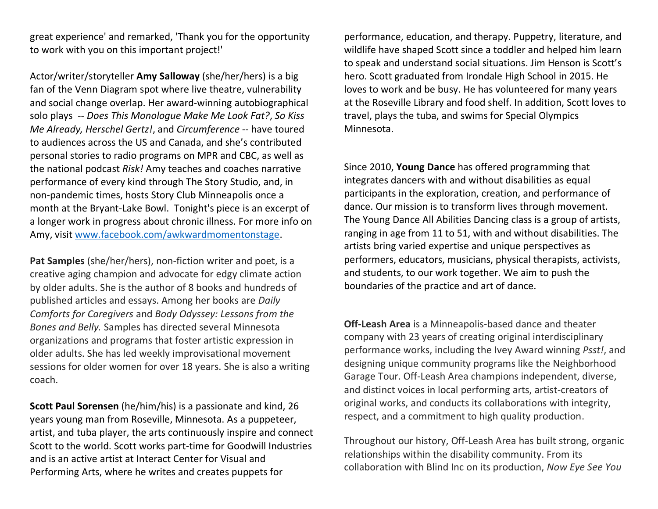great experience' and remarked, 'Thank you for the opportunity to work with you on this important project!'

Actor/writer/storyteller **Amy Salloway** (she/her/hers) is a big fan of the Venn Diagram spot where live theatre, vulnerability and social change overlap. Her award-winning autobiographical solo plays -- *Does This Monologue Make Me Look Fat?*, *So Kiss Me Already, Herschel Gertz!*, and *Circumference* -- have toured to audiences across the US and Canada, and she's contributed personal stories to radio programs on MPR and CBC, as well as the national podcast *Risk!* Amy teaches and coaches narrative performance of every kind through The Story Studio, and, in non-pandemic times, hosts Story Club Minneapolis once a month at the Bryant-Lake Bowl. Tonight's piece is an excerpt of a longer work in progress about chronic illness. For more info on Amy, visit [www.facebook.com/awkwardmomentonstage.](http://www.facebook.com/awkwardmomentonstage)

Pat Samples (she/her/hers), non-fiction writer and poet, is a creative aging champion and advocate for edgy climate action by older adults. She is the author of 8 books and hundreds of published articles and essays. Among her books are *Daily Comforts for Caregivers* and *Body Odyssey: Lessons from the Bones and Belly.* Samples has directed several Minnesota organizations and programs that foster artistic expression in older adults. She has led weekly improvisational movement sessions for older women for over 18 years. She is also a writing coach.

**Scott Paul Sorensen** (he/him/his) is a passionate and kind, 26 years young man from Roseville, Minnesota. As a puppeteer, artist, and tuba player, the arts continuously inspire and connect Scott to the world. Scott works part-time for Goodwill Industries and is an active artist at Interact Center for Visual and Performing Arts, where he writes and creates puppets for

performance, education, and therapy. Puppetry, literature, and wildlife have shaped Scott since a toddler and helped him learn to speak and understand social situations. Jim Henson is Scott's hero. Scott graduated from Irondale High School in 2015. He loves to work and be busy. He has volunteered for many years at the Roseville Library and food shelf. In addition, Scott loves to travel, plays the tuba, and swims for Special Olympics Minnesota.

Since 2010, **Young Dance** has offered programming that integrates dancers with and without disabilities as equal participants in the exploration, creation, and performance of dance. Our mission is to transform lives through movement. The Young Dance All Abilities Dancing class is a group of artists, ranging in age from 11 to 51, with and without disabilities. The artists bring varied expertise and unique perspectives as performers, educators, musicians, physical therapists, activists, and students, to our work together. We aim to push the boundaries of the practice and art of dance.

**Off-Leash Area** is a Minneapolis-based dance and theater company with 23 years of creating original interdisciplinary performance works, including the Ivey Award winning *Psst!*, and designing unique community programs like the Neighborhood Garage Tour. Off-Leash Area champions independent, diverse, and distinct voices in local performing arts, artist-creators of original works, and conducts its collaborations with integrity, respect, and a commitment to high quality production.

Throughout our history, Off-Leash Area has built strong, organic relationships within the disability community. From its collaboration with Blind Inc on its production, *Now Eye See You*